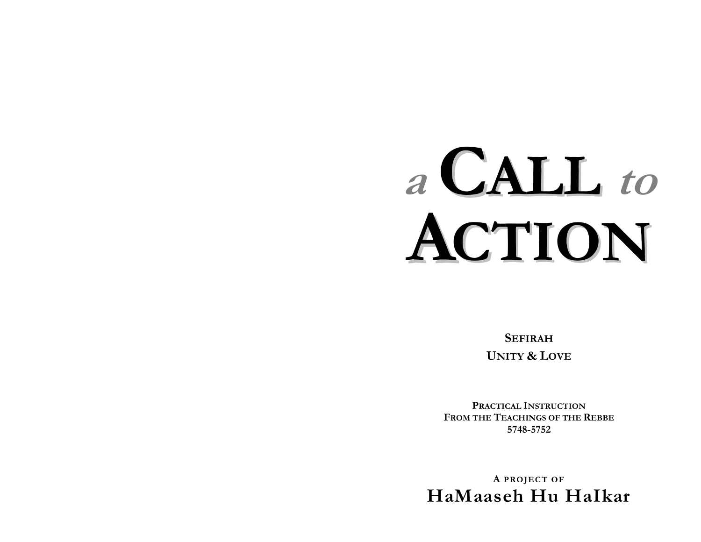# **a CALL to ACTION**

**SEFIRAHUNITY & LOVE**

**PRACTICAL INSTRUCTIONFROM THE TEACHINGS OF THE REBBE 5748-5752** 

**A PROJECT OF HaMaaseh Hu HaIkar**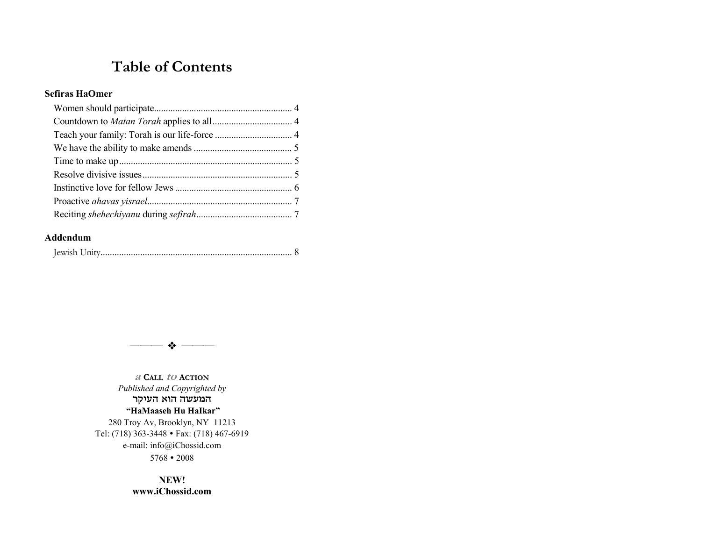## **Table of Contents**

#### **Sefiras HaOmer**

#### **Addendum**



**a CALL to ACTION***Published and Copyrighted by*  **המעשה!הוא!העיקר ìHaMaaseh Hu HaIkarî**  280 Troy Av, Brooklyn, NY 11213 Tel: (718) 363-3448 " Fax: (718) 467-6919 e-mail: info@iChossid.com  $5768 \cdot 2008$ 

#### **NEW!www.iChossid.com**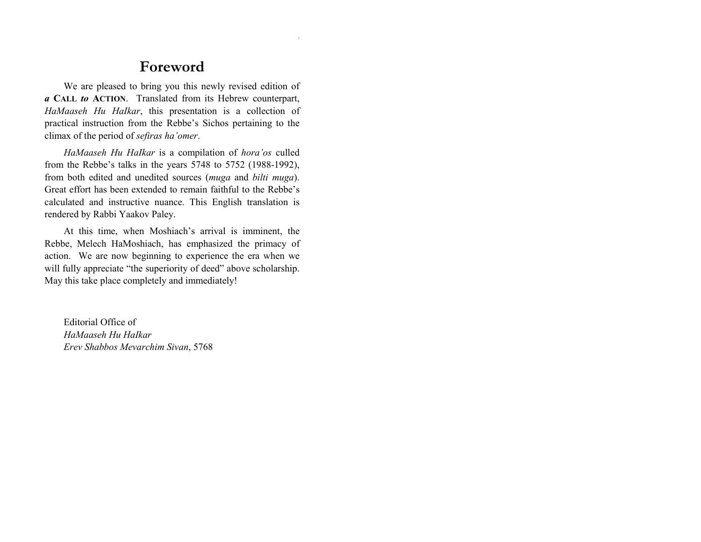### **Foreword**

We are pleased to bring you this newly revised edition of *a* **CALL** *to* **ACTION**. Translated from its Hebrew counterpart, *HaMaaseh Hu HaIkar*, this presentation is a collection of practical instruction from the Rebbe's Sichos pertaining to the climax of the period of *sefiras ha'omer*.

*HaMaaseh Hu HaIkar* is a compilation of *horaíos* culled from the Rebbe's talks in the years  $5748$  to  $5752$  (1988-1992), from both edited and unedited sources (*muga* and *bilti muga*). Great effort has been extended to remain faithful to the Rebbe's calculated and instructive nuance. This English translation is rendered by Rabbi Yaakov Paley.

At this time, when Moshiach's arrival is imminent, the Rebbe, Melech HaMoshiach, has emphasized the primacy of action. We are now beginning to experience the era when we will fully appreciate "the superiority of deed" above scholarship. May this take place completely and immediately!

Editorial Office of *HaMaaseh Hu HaIkar Erev Shabbos Mevarchim Sivan*, 5768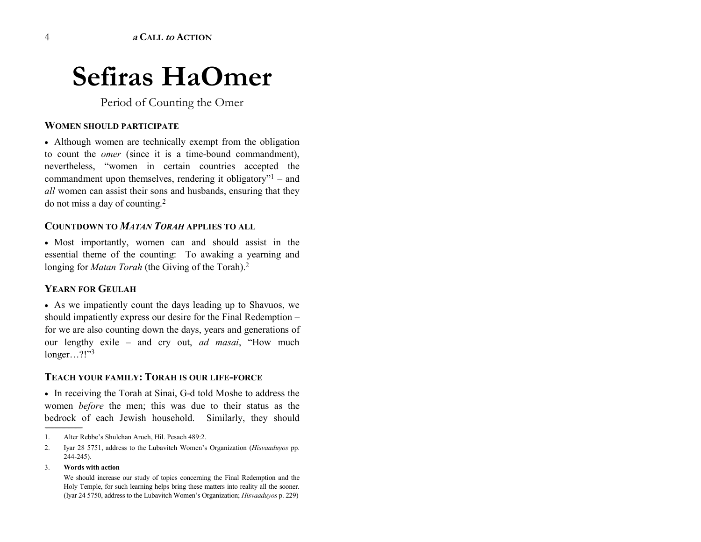# **Sefiras HaOmer**

Period of Counting the Omer

#### **WOMEN SHOULD PARTICIPATE**

• Although women are technically exempt from the obligation to count the *omer* (since it is a time-bound commandment), nevertheless, "women in certain countries accepted the commandment upon themselves, rendering it obligatory<sup> $n_1$ </sup> – and *all* women can assist their sons and husbands, ensuring that they do not miss a day of counting.2

#### **COUNTDOWN TO** *MATAN TORAH* **APPLIES TO ALL**

• Most importantly, women can and should assist in the essential theme of the counting: To awaking a yearning and longing for *Matan Torah* (the Giving of the Torah).<sup>2</sup>

#### **YEARN FOR GEULAH**

• As we impatiently count the days leading up to Shavuos, we should impatiently express our desire for the Final Redemption  $$ for we are also counting down the days, years and generations of our lengthy exile – and cry out, *ad masai*, "How much longer...?!" $3$ 

#### **TEACH YOUR FAMILY: TORAH IS OUR LIFE-FORCE**

• In receiving the Torah at Sinai, G-d told Moshe to address the women *before* the men; this was due to their status as the bedrock of each Jewish household. Similarly, they should

#### 3.**Words with action**

------------------------------------------------

We should increase our study of topics concerning the Final Redemption and the Holy Temple, for such learning helps bring these matters into reality all the sooner. (Iyar 24 5750, address to the Lubavitch Womenís Organization; *Hisvaaduyos* p. 229)

<sup>1.</sup> Alter Rebbe's Shulchan Aruch, Hil. Pesach 489:2.

<sup>2.</sup> Iyar 28 5751, address to the Lubavitch Womenís Organization (*Hisvaaduyos* pp. 244-245).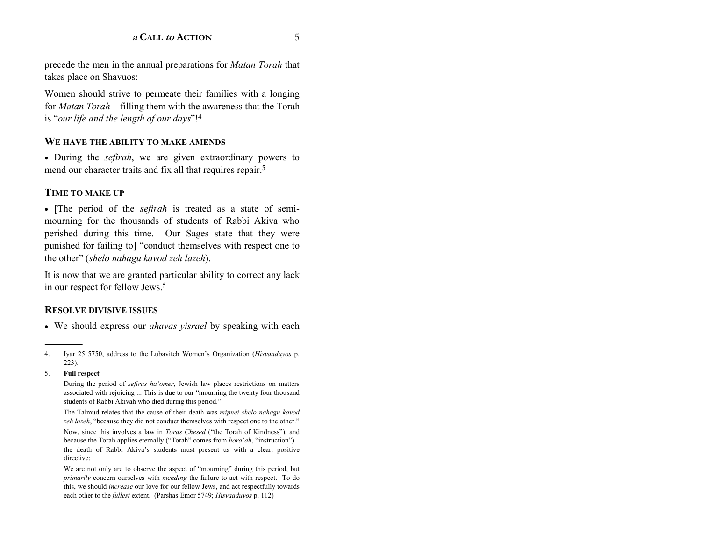precede the men in the annual preparations for *Matan Torah* that takes place on Shavuos:

Women should strive to permeate their families with a longing for *Matan Torah* – filling them with the awareness that the Torah is "*our life and the length of our days*"!<sup>4</sup>

#### **WE HAVE THE ABILITY TO MAKE AMENDS**

• During the *sefirah*, we are given extraordinary powers to mend our character traits and fix all that requires repair.<sup>5</sup>

#### **TIME TO MAKE UP**

• [The period of the *sefirah* is treated as a state of semimourning for the thousands of students of Rabbi Akiva who perished during this time. Our Sages state that they were punished for failing to] "conduct themselves with respect one to the otherî (*shelo nahagu kavod zeh lazeh*).

It is now that we are granted particular ability to correct any lack in our respect for fellow Jews.5

#### **RESOLVE DIVISIVE ISSUES**

• We should express our *ahavas yisrael* by speaking with each

#### 5. **Full respect**

------------------------------------------------

During the period of *sefiras haíomer*, Jewish law places restrictions on matters associated with rejoicing ... This is due to our "mourning the twenty four thousand students of Rabbi Akivah who died during this period."

The Talmud relates that the cause of their death was *mipnei shelo nahagu kavod*  zeh lazeh, "because they did not conduct themselves with respect one to the other."

Now, since this involves a law in *Toras Chesed* ("the Torah of Kindness"), and because the Torah applies eternally ("Torah" comes from *hora'ah*, "instruction") – the death of Rabbi Akiva's students must present us with a clear, positive directive:

We are not only are to observe the aspect of "mourning" during this period, but *primarily* concern ourselves with *mending* the failure to act with respect. To do this, we should *increase* our love for our fellow Jews, and act respectfully towards each other to the *fullest* extent. (Parshas Emor 5749; *Hisvaaduyos* p. 112)

<sup>4.</sup> Iyar 25 5750, address to the Lubavitch Womenís Organization (*Hisvaaduyos* p. 223).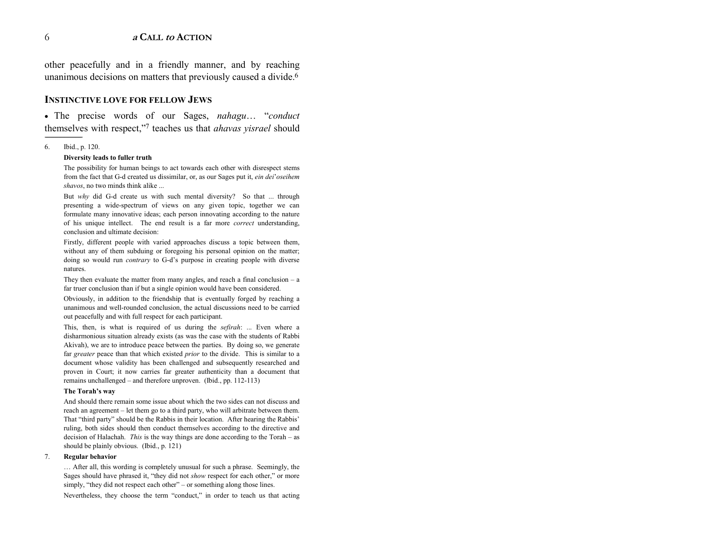other peacefully and in a friendly manner, and by reaching unanimous decisions on matters that previously caused a divide.<sup>6</sup>

#### **INSTINCTIVE LOVE FOR FELLOW JEWS**

• The precise words of our Sages, *nahagu*... "*conduct* themselves with respect,"<sup>7</sup> teaches us that *ahavas yisrael* should

6. Ibid., p. 120.

------------------------------------------------

#### **Diversity leads to fuller truth**

The possibility for human beings to act towards each other with disrespect stems from the fact that G-d created us dissimilar, or, as our Sages put it, *ein dei*í*oseihem shavos*, no two minds think alike ...

But *why* did G-d create us with such mental diversity? So that ... through presenting a wide-spectrum of views on any given topic, together we can formulate many innovative ideas; each person innovating according to the nature of his unique intellect. The end result is a far more *correct* understanding, conclusion and ultimate decision:

 Firstly, different people with varied approaches discuss a topic between them, without any of them subduing or foregoing his personal opinion on the matter; doing so would run *contrary* to G-d's purpose in creating people with diverse natures.

They then evaluate the matter from many angles, and reach a final conclusion  $-$  a far truer conclusion than if but a single opinion would have been considered.

 Obviously, in addition to the friendship that is eventually forged by reaching a unanimous and well-rounded conclusion, the actual discussions need to be carried out peacefully and with full respect for each participant.

 This, then, is what is required of us during the *sefirah*: ... Even where a disharmonious situation already exists (as was the case with the students of Rabbi Akivah), we are to introduce peace between the parties. By doing so, we generate far *greater* peace than that which existed *prior* to the divide. This is similar to a document whose validity has been challenged and subsequently researched and proven in Court; it now carries far greater authenticity than a document that remains unchallenged  $-$  and therefore unproven. (Ibid., pp. 112-113)

#### The Torah's way

And should there remain some issue about which the two sides can not discuss and reach an agreement – let them go to a third party, who will arbitrate between them. That "third party" should be the Rabbis in their location. After hearing the Rabbis' ruling, both sides should then conduct themselves according to the directive and decision of Halachah. *This* is the way things are done according to the Torah – as should be plainly obvious. (Ibid., p. 121)

#### 7. **Regular behavior**

 $\ldots$  After all, this wording is completely unusual for such a phrase. Seemingly, the Sages should have phrased it, "they did not *show* respect for each other," or more simply, "they did not respect each other"  $-$  or something along those lines.

Nevertheless, they choose the term "conduct," in order to teach us that acting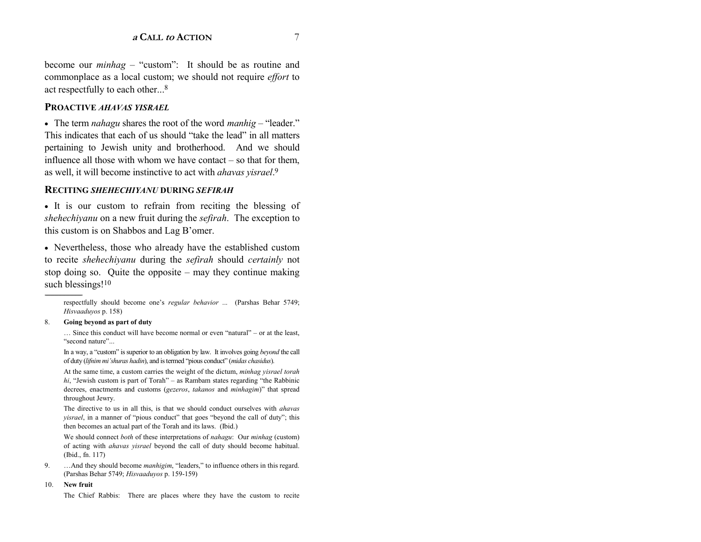become our *minhag* – "custom": It should be as routine and commonplace as a local custom; we should not require *effort* to act respectfully to each other...8

#### **PROACTIVE** *AHAVAS YISRAEL*

• The term *nahagu* shares the root of the word *manhig* – "leader." This indicates that each of us should "take the lead" in all matters pertaining to Jewish unity and brotherhood. And we should influence all those with whom we have contact  $-$  so that for them. as well, it will become instinctive to act with *ahavas yisrael*.<sup>9</sup>

#### **RECITING** *SHEHECHIYANU* **DURING** *SEFIRAH*

• It is our custom to refrain from reciting the blessing of *shehechiyanu* on a new fruit during the *sefirah*. The exception to this custom is on Shabbos and Lag B'omer.

• Nevertheless, those who already have the established custom to recite *shehechiyanu* during the *sefirah* should *certainly* not stop doing so. Quite the opposite  $-$  may they continue making such blessings!<sup>10</sup>

respectfully should become one's *regular behavior* ... (Parshas Behar 5749; *Hisvaaduyos* p. 158)

#### 8. **Going beyond as part of duty**

------------------------------------------------

 $\ldots$  Since this conduct will have become normal or even "natural" – or at the least, "second nature"...

In a way, a "custom" is superior to an obligation by law. It involves going *beyond* the call of duty (*lifnim mi'shuras hadin*), and is termed "pious conduct" (*midas chasidus*).

At the same time, a custom carries the weight of the dictum, *minhag yisrael torah*   $hi$ , "Jewish custom is part of Torah" – as Rambam states regarding "the Rabbinic decrees, enactments and customs (*gezeros*, *takanos* and *minhagim*)" that spread throughout Jewry.

 The directive to us in all this, is that we should conduct ourselves with *ahavas yisrael*, in a manner of "pious conduct" that goes "beyond the call of duty"; this then becomes an actual part of the Torah and its laws. (Ibid.)

 We should connect *both* of these interpretations of *nahagu*: Our *minhag* (custom) of acting with *ahavas yisrael* beyond the call of duty should become habitual. (Ibid., fn. 117)

9. ... And they should become *manhigim*, "leaders," to influence others in this regard. (Parshas Behar 5749; *Hisvaaduyos* p. 159-159)

#### 10. **New fruit**

The Chief Rabbis: There are places where they have the custom to recite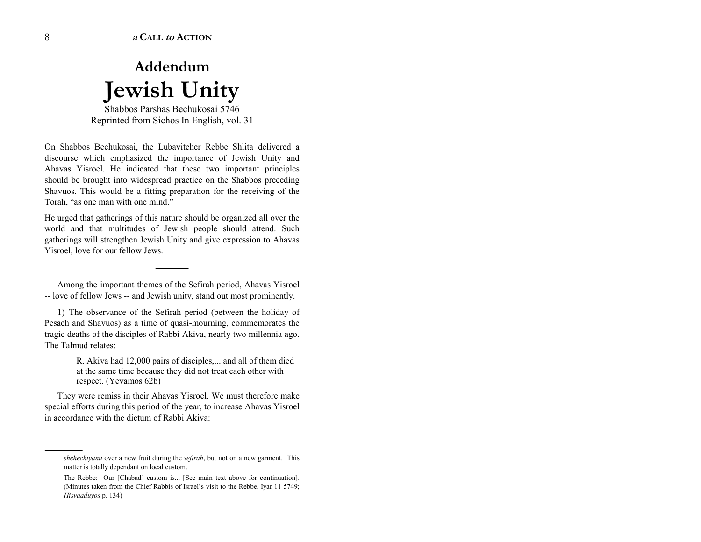# **AddendumJewish Unity**

Shabbos Parshas Bechukosai 5746 Reprinted from Sichos In English, vol. 31

On Shabbos Bechukosai, the Lubavitcher Rebbe Shlita delivered a discourse which emphasized the importance of Jewish Unity and Ahavas Yisroel. He indicated that these two important principles should be brought into widespread practice on the Shabbos preceding Shavuos. This would be a fitting preparation for the receiving of the Torah, "as one man with one mind."

He urged that gatherings of this nature should be organized all over the world and that multitudes of Jewish people should attend. Such gatherings will strengthen Jewish Unity and give expression to Ahavas Yisroel, love for our fellow Jews.

Among the important themes of the Sefirah period, Ahavas Yisroel -- love of fellow Jews -- and Jewish unity, stand out most prominently.

1) The observance of the Sefirah period (between the holiday of Pesach and Shavuos) as a time of quasi-mourning, commemorates the tragic deaths of the disciples of Rabbi Akiva, nearly two millennia ago. The Talmud relates:

> R. Akiva had 12,000 pairs of disciples,... and all of them died at the same time because they did not treat each other with respect. (Yevamos 62b)

They were remiss in their Ahavas Yisroel. We must therefore make special efforts during this period of the year, to increase Ahavas Yisroel in accordance with the dictum of Rabbi Akiva:

------------------------------------------------

*shehechiyanu* over a new fruit during the *sefirah*, but not on a new garment. This matter is totally dependant on local custom.

The Rebbe: Our [Chabad] custom is... [See main text above for continuation]. (Minutes taken from the Chief Rabbis of Israel's visit to the Rebbe, Iyar 11 5749; *Hisvaaduyos* p. 134)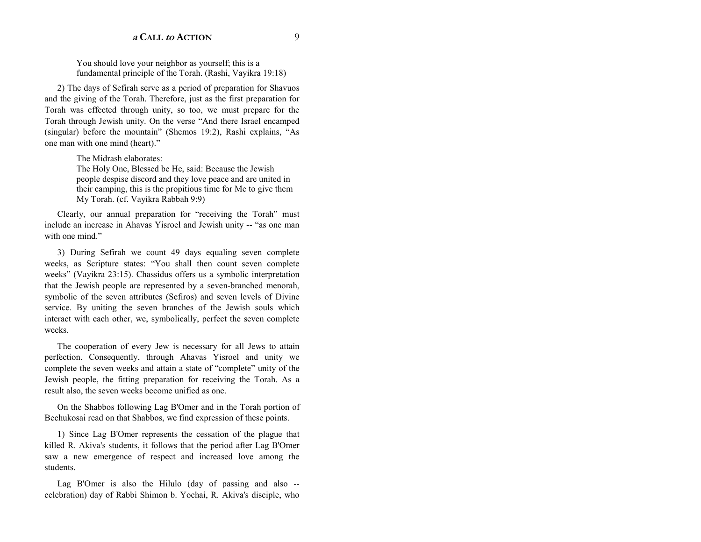You should love your neighbor as yourself; this is a fundamental principle of the Torah. (Rashi, Vayikra 19:18)

2) The days of Sefirah serve as a period of preparation for Shavuos and the giving of the Torah. Therefore, just as the first preparation for Torah was effected through unity, so too, we must prepare for the Torah through Jewish unity. On the verse "And there Israel encamped (singular) before the mountain" (Shemos  $19:2$ ), Rashi explains, "As one man with one mind (heart)."

The Midrash elaborates:

The Holy One, Blessed be He, said: Because the Jewish people despise discord and they love peace and are united in their camping, this is the propitious time for Me to give them My Torah. (cf. Vayikra Rabbah 9:9)

Clearly, our annual preparation for "receiving the Torah" must include an increase in Ahavas Yisroel and Jewish unity -- "as one man with one mind.<sup>"</sup>

3) During Sefirah we count 49 days equaling seven complete weeks, as Scripture states: "You shall then count seven complete weeks" (Vayikra 23:15). Chassidus offers us a symbolic interpretation that the Jewish people are represented by a seven-branched menorah, symbolic of the seven attributes (Sefiros) and seven levels of Divine service. By uniting the seven branches of the Jewish souls which interact with each other, we, symbolically, perfect the seven complete weeks.

The cooperation of every Jew is necessary for all Jews to attain perfection. Consequently, through Ahavas Yisroel and unity we complete the seven weeks and attain a state of "complete" unity of the Jewish people, the fitting preparation for receiving the Torah. As a result also, the seven weeks become unified as one.

On the Shabbos following Lag B'Omer and in the Torah portion of Bechukosai read on that Shabbos, we find expression of these points.

1) Since Lag B'Omer represents the cessation of the plague that killed R. Akiva's students, it follows that the period after Lag B'Omer saw a new emergence of respect and increased love among the students.

Lag B'Omer is also the Hilulo (day of passing and also - celebration) day of Rabbi Shimon b. Yochai, R. Akiva's disciple, who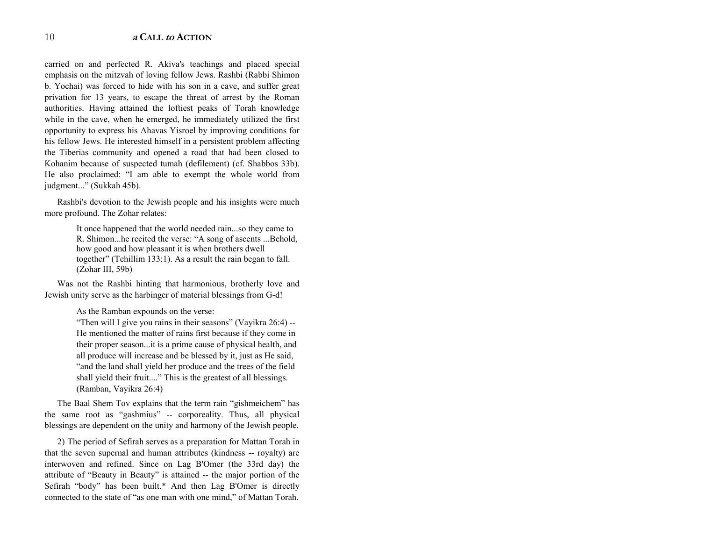#### **a CALL to ACTION**

carried on and perfected R. Akiva's teachings and placed special emphasis on the mitzvah of loving fellow Jews. Rashbi (Rabbi Shimon b. Yochai) was forced to hide with his son in a cave, and suffer great privation for 13 years, to escape the threat of arrest by the Roman authorities. Having attained the loftiest peaks of Torah knowledge while in the cave, when he emerged, he immediately utilized the first opportunity to express his Ahavas Yisroel by improving conditions for his fellow Jews. He interested himself in a persistent problem affecting the Tiberias community and opened a road that had been closed to Kohanim because of suspected tumah (defilement) (cf. Shabbos 33b). He also proclaimed: "I am able to exempt the whole world from judgment..." (Sukkah 45b).

Rashbi's devotion to the Jewish people and his insights were much more profound. The Zohar relates:

> It once happened that the world needed rain...so they came to R. Shimon...he recited the verse: "A song of ascents ...Behold, how good and how pleasant it is when brothers dwell together" (Tehillim 133:1). As a result the rain began to fall. (Zohar III, 59b)

Was not the Rashbi hinting that harmonious, brotherly love and Jewish unity serve as the harbinger of material blessings from G-d!

As the Ramban expounds on the verse:

"Then will I give you rains in their seasons" (Vayikra  $26:4$ ) --He mentioned the matter of rains first because if they come in their proper season...it is a prime cause of physical health, and all produce will increase and be blessed by it, just as He said, "and the land shall yield her produce and the trees of the field shall yield their fruit...." This is the greatest of all blessings. (Ramban, Vayikra 26:4)

The Baal Shem Tov explains that the term rain "gishmeichem" has the same root as "gashmius" -- corporeality. Thus, all physical blessings are dependent on the unity and harmony of the Jewish people.

2) The period of Sefirah serves as a preparation for Mattan Torah in that the seven supernal and human attributes (kindness -- royalty) are interwoven and refined. Since on Lag B'Omer (the 33rd day) the attribute of "Beauty in Beauty" is attained -- the major portion of the Sefirah "body" has been built.\* And then Lag B'Omer is directly connected to the state of "as one man with one mind," of Mattan Torah.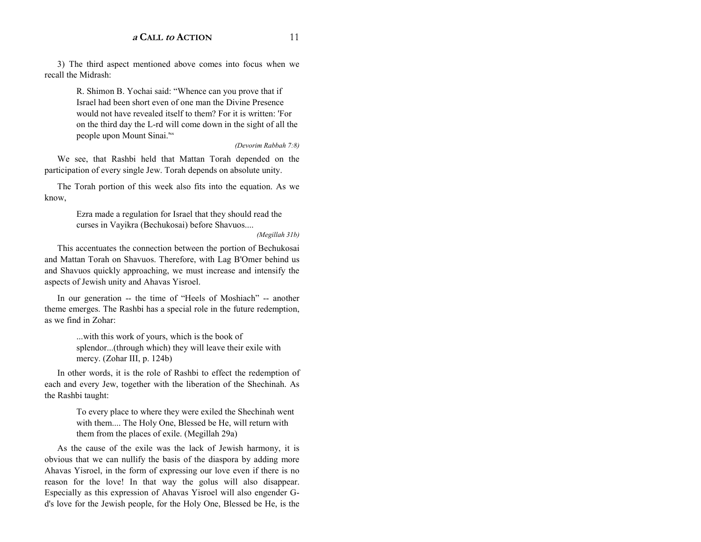3) The third aspect mentioned above comes into focus when we recall the Midrash:

> R. Shimon B. Yochai said: "Whence can you prove that if Israel had been short even of one man the Divine Presence would not have revealed itself to them? For it is written: 'For on the third day the L-rd will come down in the sight of all the people upon Mount Sinai."

> > *(Devorim Rabbah 7:8)*

We see, that Rashbi held that Mattan Torah depended on the participation of every single Jew. Torah depends on absolute unity.

The Torah portion of this week also fits into the equation. As we know,

> Ezra made a regulation for Israel that they should read the curses in Vayikra (Bechukosai) before Shavuos....

> > *(Megillah 31b)*

This accentuates the connection between the portion of Bechukosai and Mattan Torah on Shavuos. Therefore, with Lag B'Omer behind us and Shavuos quickly approaching, we must increase and intensify the aspects of Jewish unity and Ahavas Yisroel.

In our generation -- the time of "Heels of Moshiach" -- another theme emerges. The Rashbi has a special role in the future redemption, as we find in Zohar:

> ...with this work of yours, which is the book of splendor...(through which) they will leave their exile with mercy. (Zohar III, p. 124b)

In other words, it is the role of Rashbi to effect the redemption of each and every Jew, together with the liberation of the Shechinah. As the Rashbi taught:

> To every place to where they were exiled the Shechinah went with them.... The Holy One, Blessed be He, will return with them from the places of exile. (Megillah 29a)

As the cause of the exile was the lack of Jewish harmony, it is obvious that we can nullify the basis of the diaspora by adding more Ahavas Yisroel, in the form of expressing our love even if there is no reason for the love! In that way the golus will also disappear. Especially as this expression of Ahavas Yisroel will also engender Gd's love for the Jewish people, for the Holy One, Blessed be He, is the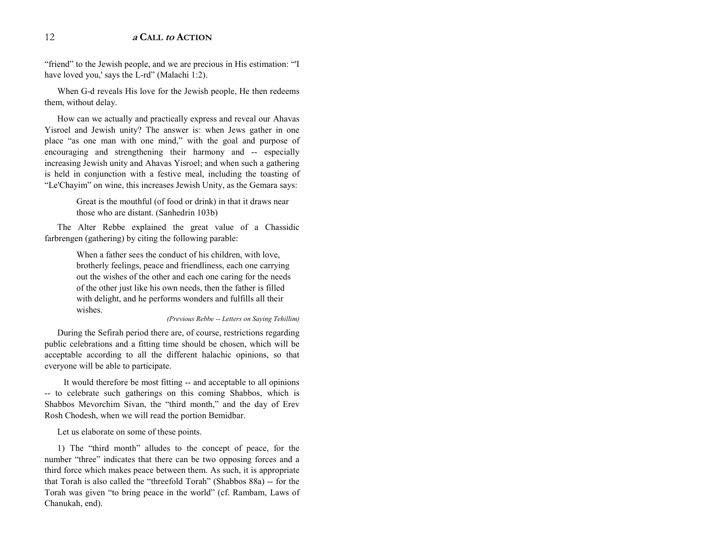"friend" to the Jewish people, and we are precious in His estimation: "I have loved you,' says the L-rd" (Malachi 1:2).

When G-d reveals His love for the Jewish people, He then redeems them, without delay.

How can we actually and practically express and reveal our Ahavas Yisroel and Jewish unity? The answer is: when Jews gather in one place "as one man with one mind," with the goal and purpose of encouraging and strengthening their harmony and -- especially increasing Jewish unity and Ahavas Yisroel; and when such a gathering is held in conjunction with a festive meal, including the toasting of ìLe'Chayimî on wine, this increases Jewish Unity, as the Gemara says:

> Great is the mouthful (of food or drink) in that it draws near those who are distant. (Sanhedrin 103b)

The Alter Rebbe explained the great value of a Chassidic farbrengen (gathering) by citing the following parable:

> When a father sees the conduct of his children, with love, brotherly feelings, peace and friendliness, each one carrying out the wishes of the other and each one caring for the needs of the other just like his own needs, then the father is filled with delight, and he performs wonders and fulfills all their wishes.

*(Previous Rebbe -- Letters on Saying Tehillim)*

During the Sefirah period there are, of course, restrictions regarding public celebrations and a fitting time should be chosen, which will be acceptable according to all the different halachic opinions, so that everyone will be able to participate.

It would therefore be most fitting -- and acceptable to all opinions -- to celebrate such gatherings on this coming Shabbos, which is Shabbos Mevorchim Sivan, the "third month," and the day of Erev Rosh Chodesh, when we will read the portion Bemidbar.

Let us elaborate on some of these points.

1) The "third month" alludes to the concept of peace, for the number "three" indicates that there can be two opposing forces and a third force which makes peace between them. As such, it is appropriate that Torah is also called the "threefold Torah" (Shabbos 88a) -- for the Torah was given "to bring peace in the world" (cf. Rambam, Laws of Chanukah, end).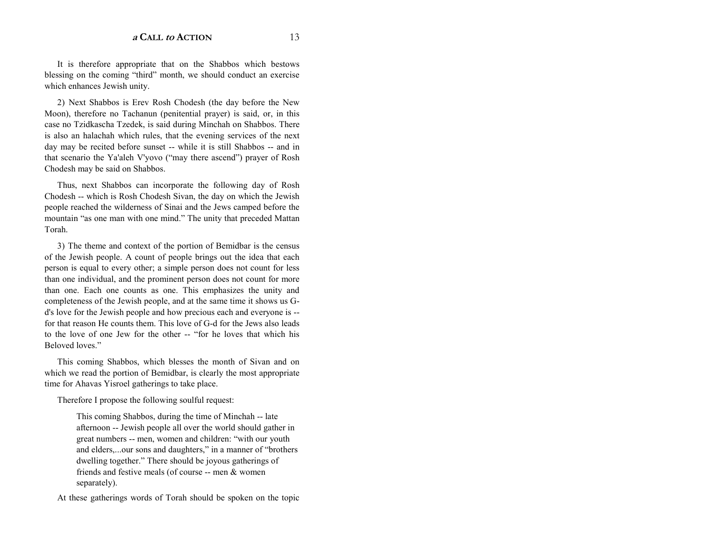It is therefore appropriate that on the Shabbos which bestows blessing on the coming "third" month, we should conduct an exercise which enhances Jewish unity.

2) Next Shabbos is Erev Rosh Chodesh (the day before the New Moon), therefore no Tachanun (penitential prayer) is said, or, in this case no Tzidkascha Tzedek, is said during Minchah on Shabbos. There is also an halachah which rules, that the evening services of the next day may be recited before sunset -- while it is still Shabbos -- and in that scenario the Ya'aleh V'yovo ("may there ascend") prayer of Rosh Chodesh may be said on Shabbos.

Thus, next Shabbos can incorporate the following day of Rosh Chodesh -- which is Rosh Chodesh Sivan, the day on which the Jewish people reached the wilderness of Sinai and the Jews camped before the mountain "as one man with one mind." The unity that preceded Mattan Torah.

3) The theme and context of the portion of Bemidbar is the census of the Jewish people. A count of people brings out the idea that each person is equal to every other; a simple person does not count for less than one individual, and the prominent person does not count for more than one. Each one counts as one. This emphasizes the unity and completeness of the Jewish people, and at the same time it shows us Gd's love for the Jewish people and how precious each and everyone is - for that reason He counts them. This love of G-d for the Jews also leads to the love of one Jew for the other -- "for he loves that which his Beloved loves."

This coming Shabbos, which blesses the month of Sivan and on which we read the portion of Bemidbar, is clearly the most appropriate time for Ahavas Yisroel gatherings to take place.

Therefore I propose the following soulful request:

This coming Shabbos, during the time of Minchah -- late afternoon -- Jewish people all over the world should gather in great numbers -- men, women and children: "with our youth and elders,...our sons and daughters," in a manner of "brothers" dwelling together." There should be joyous gatherings of friends and festive meals (of course -- men & women separately).

At these gatherings words of Torah should be spoken on the topic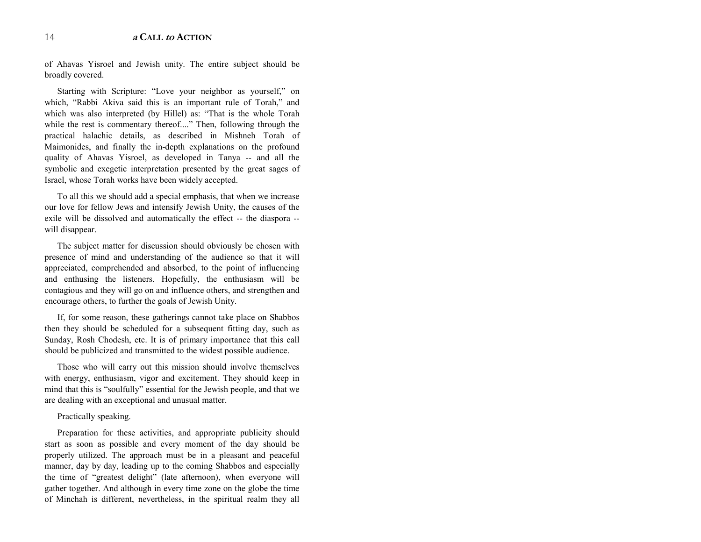of Ahavas Yisroel and Jewish unity. The entire subject should be broadly covered.

Starting with Scripture: "Love your neighbor as yourself," on which, "Rabbi Akiva said this is an important rule of Torah," and which was also interpreted (by Hillel) as: "That is the whole Torah while the rest is commentary thereof...." Then, following through the practical halachic details, as described in Mishneh Torah of Maimonides, and finally the in-depth explanations on the profound quality of Ahavas Yisroel, as developed in Tanya -- and all the symbolic and exegetic interpretation presented by the great sages of Israel, whose Torah works have been widely accepted.

To all this we should add a special emphasis, that when we increase our love for fellow Jews and intensify Jewish Unity, the causes of the exile will be dissolved and automatically the effect -- the diaspora - will disappear.

The subject matter for discussion should obviously be chosen with presence of mind and understanding of the audience so that it will appreciated, comprehended and absorbed, to the point of influencing and enthusing the listeners. Hopefully, the enthusiasm will be contagious and they will go on and influence others, and strengthen and encourage others, to further the goals of Jewish Unity.

If, for some reason, these gatherings cannot take place on Shabbos then they should be scheduled for a subsequent fitting day, such as Sunday, Rosh Chodesh, etc. It is of primary importance that this call should be publicized and transmitted to the widest possible audience.

Those who will carry out this mission should involve themselves with energy, enthusiasm, vigor and excitement. They should keep in mind that this is "soulfully" essential for the Jewish people, and that we are dealing with an exceptional and unusual matter.

Practically speaking.

Preparation for these activities, and appropriate publicity should start as soon as possible and every moment of the day should be properly utilized. The approach must be in a pleasant and peaceful manner, day by day, leading up to the coming Shabbos and especially the time of "greatest delight" (late afternoon), when everyone will gather together. And although in every time zone on the globe the time of Minchah is different, nevertheless, in the spiritual realm they all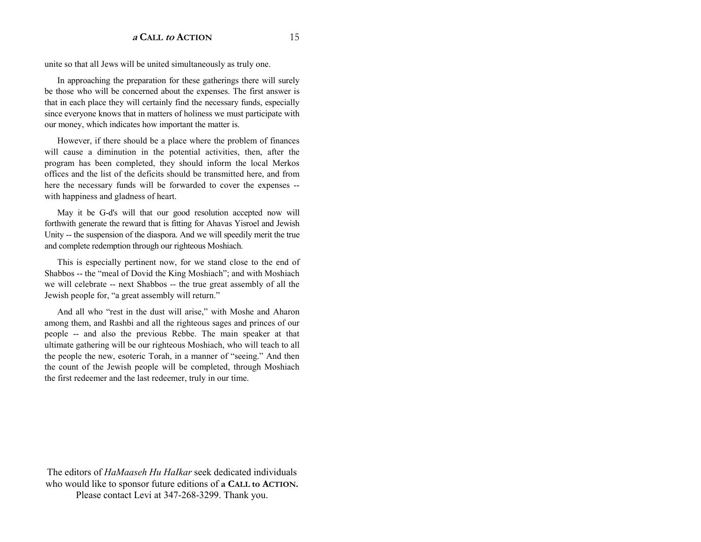unite so that all Jews will be united simultaneously as truly one.

In approaching the preparation for these gatherings there will surely be those who will be concerned about the expenses. The first answer is that in each place they will certainly find the necessary funds, especially since everyone knows that in matters of holiness we must participate with our money, which indicates how important the matter is.

However, if there should be a place where the problem of finances will cause a diminution in the potential activities, then, after the program has been completed, they should inform the local Merkos offices and the list of the deficits should be transmitted here, and from here the necessary funds will be forwarded to cover the expenses - with happiness and gladness of heart.

May it be G-d's will that our good resolution accepted now will forthwith generate the reward that is fitting for Ahavas Yisroel and Jewish Unity -- the suspension of the diaspora. And we will speedily merit the true and complete redemption through our righteous Moshiach.

This is especially pertinent now, for we stand close to the end of Shabbos -- the "meal of Dovid the King Moshiach"; and with Moshiach we will celebrate -- next Shabbos -- the true great assembly of all the Jewish people for, "a great assembly will return."

And all who "rest in the dust will arise," with Moshe and Aharon among them, and Rashbi and all the righteous sages and princes of our people -- and also the previous Rebbe. The main speaker at that ultimate gathering will be our righteous Moshiach, who will teach to all the people the new, esoteric Torah, in a manner of "seeing." And then the count of the Jewish people will be completed, through Moshiach the first redeemer and the last redeemer, truly in our time.

The editors of *HaMaaseh Hu HaIkar* seek dedicated individuals who would like to sponsor future editions of **a CALL to ACTION.** Please contact Levi at 347-268-3299. Thank you.